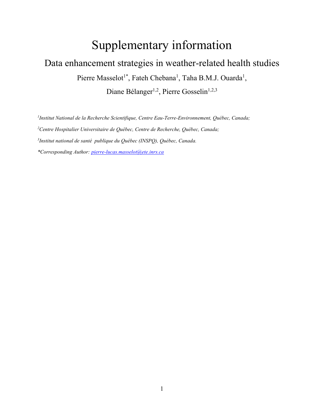## Supplementary information

## Data enhancement strategies in weather-related health studies Pierre Masselot<sup>1\*</sup>, Fateh Chebana<sup>1</sup>, Taha B.M.J. Ouarda<sup>1</sup>, Diane Bélanger<sup>1,2</sup>, Pierre Gosselin<sup>1,2,3</sup>

*1 Institut National de la Recherche Scientifique, Centre Eau-Terre-Environnement, Québec, Canada; <sup>2</sup>Centre Hospitalier Universitaire de Québec, Centre de Recherche, Québec, Canada; 3 Institut national de santé publique du Québec (INSPQ), Québec, Canada.*

*\*Corresponding Author[: pierre-lucas.masselot@ete.inrs.ca](mailto:pierre-lucas.masselot@ete.inrs.ca)*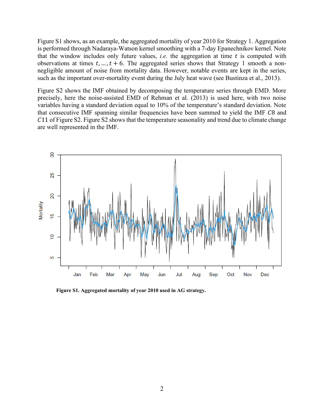Figure S1 shows, as an example, the aggregated mortality of year 2010 for Strategy 1. Aggregation is performed through Nadaraya-Watson kernel smoothing with a 7-day Epanechnikov kernel. Note that the window includes only future values, *i.e.* the aggregation at time  $t$  is computed with observations at times  $t, ..., t + 6$ . The aggregated series shows that Strategy 1 smooth a nonnegligible amount of noise from mortality data. However, notable events are kept in the series, such as the important over-mortality event during the July heat wave (see Bustinza et al., 2013).

Figure S2 shows the IMF obtained by decomposing the temperature series through EMD. More precisely, here the noise-assisted EMD of Rehman et al. (2013) is used here, with two noise variables having a standard deviation equal to 10% of the temperature's standard deviation. Note that consecutive IMF spanning similar frequencies have been summed to yield the IMF C8 and 11 of Figure S2. Figure S2 shows that the temperature seasonality and trend due to climate change are well represented in the IMF.



**Figure S1. Aggregated mortality of year 2010 used in AG strategy.**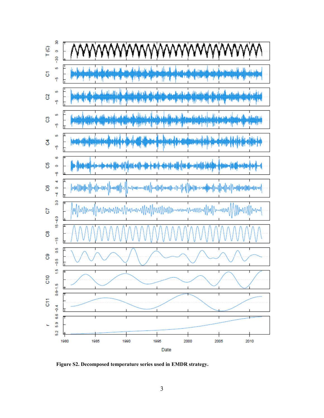

**Figure S2. Decomposed temperature series used in EMDR strategy.**